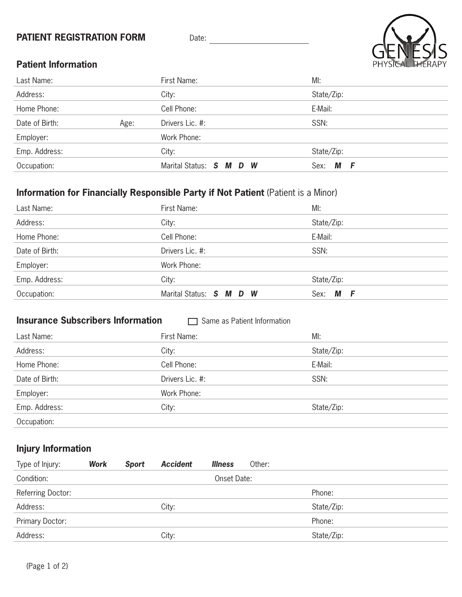## **PATIENT REGISTRATION FORM** Date: Date: Date: Date: Date: Date: Date: Date: Date: Date: Date: Date: Date: Date: Date: Date: Date: Date: Date: Date: Date: Date: Date: Date: Date: Date: Date: Date: Date: Date: Date: Date: Da



## **Patient Information**

| Last Name:     |      | First Name:             | MI:              |
|----------------|------|-------------------------|------------------|
| Address:       |      | City:                   | State/Zip:       |
| Home Phone:    |      | Cell Phone:             | E-Mail:          |
| Date of Birth: | Age: | Drivers Lic. #:         | SSN:             |
| Employer:      |      | Work Phone:             |                  |
| Emp. Address:  |      | City:                   | State/Zip:       |
| Occupation:    |      | Marital Status: S M D W | М<br>Sex:<br>- F |

## **Information for Financially Responsible Party if Not Patient (Patient is a Minor)**

| Last Name:     | First Name:             | MI:             |  |
|----------------|-------------------------|-----------------|--|
| Address:       | City:                   | State/Zip:      |  |
| Home Phone:    | Cell Phone:             | E-Mail:         |  |
| Date of Birth: | Drivers Lic. #:         | SSN:            |  |
| Employer:      | Work Phone:             |                 |  |
| Emp. Address:  | City:                   | State/Zip:      |  |
| Occupation:    | Marital Status: S M D W | М<br>Sex:<br>-F |  |

## **Insurance Subscribers Information Same as Patient Information**

| Last Name:     | First Name:     | MI:        |
|----------------|-----------------|------------|
| Address:       | City:           | State/Zip: |
| Home Phone:    | Cell Phone:     | E-Mail:    |
| Date of Birth: | Drivers Lic. #: | SSN:       |
| Employer:      | Work Phone:     |            |
| Emp. Address:  | City:           | State/Zip: |
| Occupation:    |                 |            |

## **Injury Information**

| Type of Injury:   | <b>Work</b> | <b>Sport</b> | <b>Accident</b> | <b>Illness</b> | Other: |            |  |
|-------------------|-------------|--------------|-----------------|----------------|--------|------------|--|
| Condition:        |             |              |                 | Onset Date:    |        |            |  |
| Referring Doctor: |             |              |                 |                |        | Phone:     |  |
| Address:          |             |              | City:           |                |        | State/Zip: |  |
| Primary Doctor:   |             |              |                 |                |        | Phone:     |  |
| Address:          |             |              | City:           |                |        | State/Zip: |  |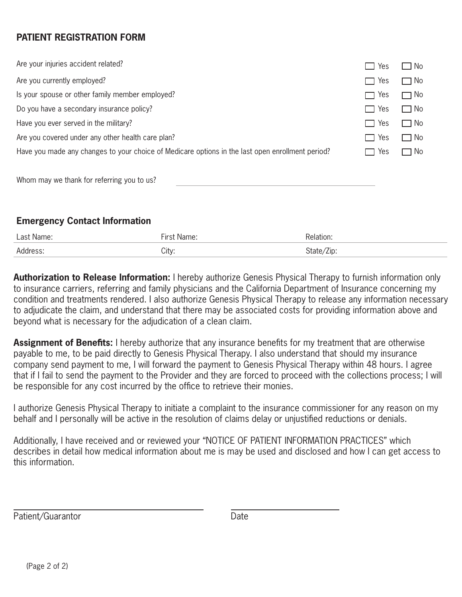## **PATIENT REGISTRATION FORM**

| Are your injuries accident related?                                                              | Yes                   | $\square$ No |
|--------------------------------------------------------------------------------------------------|-----------------------|--------------|
| Are you currently employed?                                                                      | Yes<br>$\blacksquare$ | $\Box$ No    |
| Is your spouse or other family member employed?                                                  | Yes<br>$\mathcal{L}$  | $\Box$ No    |
| Do you have a secondary insurance policy?                                                        | Yes<br><b>Tall</b>    | $\Box$ No    |
| Have you ever served in the military?                                                            | Yes<br>$\Box$         | $\Box$ No    |
| Are you covered under any other health care plan?                                                | Yes<br>$\sim$         | $\square$ No |
| Have you made any changes to your choice of Medicare options in the last open enrollment period? | Yes                   | $\Box$ No    |
|                                                                                                  |                       |              |

Whom may we thank for referring you to us?

## **Emergency Contact Information**

| Last Name: | $\cdots$ | lation |
|------------|----------|--------|
| Address.   | City:    | 'Zıp:  |

**Authorization to Release Information:** I hereby authorize Genesis Physical Therapy to furnish information only to insurance carriers, referring and family physicians and the California Department of Insurance concerning my condition and treatments rendered. I also authorize Genesis Physical Therapy to release any information necessary to adjudicate the claim, and understand that there may be associated costs for providing information above and beyond what is necessary for the adjudication of a clean claim.

**Assignment of Benefits:** I hereby authorize that any insurance benefits for my treatment that are otherwise payable to me, to be paid directly to Genesis Physical Therapy. I also understand that should my insurance company send payment to me, I will forward the payment to Genesis Physical Therapy within 48 hours. I agree that if I fail to send the payment to the Provider and they are forced to proceed with the collections process; I will be responsible for any cost incurred by the office to retrieve their monies.

I authorize Genesis Physical Therapy to initiate a complaint to the insurance commissioner for any reason on my behalf and I personally will be active in the resolution of claims delay or unjustified reductions or denials.

Additionally, I have received and or reviewed your "NOTICE OF PATIENT INFORMATION PRACTICES" which describes in detail how medical information about me is may be used and disclosed and how I can get access to this information.

Patient/Guarantor Date

 $\overline{a}$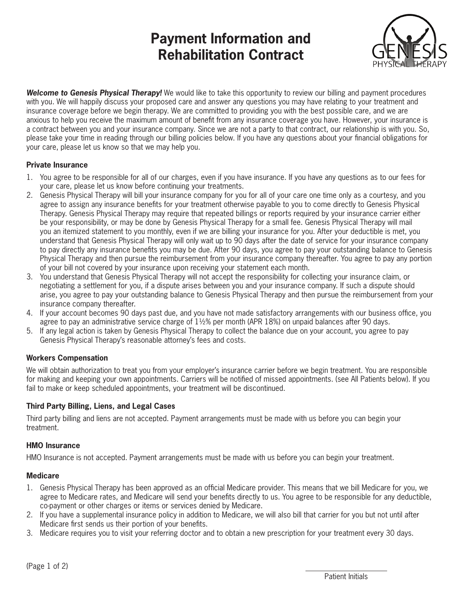## **Payment Information and Rehabilitation Contract**



*Welcome to Genesis Physical Therapy!* We would like to take this opportunity to review our billing and payment procedures with you. We will happily discuss your proposed care and answer any questions you may have relating to your treatment and insurance coverage before we begin therapy. We are committed to providing you with the best possible care, and we are anxious to help you receive the maximum amount of benefit from any insurance coverage you have. However, your insurance is a contract between you and your insurance company. Since we are not a party to that contract, our relationship is with you. So, please take your time in reading through our billing policies below. If you have any questions about your financial obligations for your care, please let us know so that we may help you.

#### **Private Insurance**

- 1. You agree to be responsible for all of our charges, even if you have insurance. If you have any questions as to our fees for your care, please let us know before continuing your treatments.
- 2. Genesis Physical Therapy will bill your insurance company for you for all of your care one time only as a courtesy, and you agree to assign any insurance benefits for your treatment otherwise payable to you to come directly to Genesis Physical Therapy. Genesis Physical Therapy may require that repeated billings or reports required by your insurance carrier either be your responsibility, or may be done by Genesis Physical Therapy for a small fee. Genesis Physical Therapy will mail you an itemized statement to you monthly, even if we are billing your insurance for you. After your deductible is met, you understand that Genesis Physical Therapy will only wait up to 90 days after the date of service for your insurance company to pay directly any insurance benefits you may be due. After 90 days, you agree to pay your outstanding balance to Genesis Physical Therapy and then pursue the reimbursement from your insurance company thereafter. You agree to pay any portion of your bill not covered by your insurance upon receiving your statement each month.
- 3. You understand that Genesis Physical Therapy will not accept the responsibility for collecting your insurance claim, or negotiating a settlement for you, if a dispute arises between you and your insurance company. If such a dispute should arise, you agree to pay your outstanding balance to Genesis Physical Therapy and then pursue the reimbursement from your insurance company thereafter.
- 4. If your account becomes 90 days past due, and you have not made satisfactory arrangements with our business office, you agree to pay an administrative service charge of  $1\frac{1}{2}\%$  per month (APR 18%) on unpaid balances after 90 days.
- 5. If any legal action is taken by Genesis Physical Therapy to collect the balance due on your account, you agree to pay Genesis Physical Therapy's reasonable attorney's fees and costs.

#### **Workers Compensation**

We will obtain authorization to treat you from your employer's insurance carrier before we begin treatment. You are responsible for making and keeping your own appointments. Carriers will be notified of missed appointments. (see All Patients below). If you fail to make or keep scheduled appointments, your treatment will be discontinued.

#### **Third Party Billing, Liens, and Legal Cases**

Third party billing and liens are not accepted. Payment arrangements must be made with us before you can begin your treatment.

#### **HMO Insurance**

HMO Insurance is not accepted. Payment arrangements must be made with us before you can begin your treatment.

#### **Medicare**

- 1. Genesis Physical Therapy has been approved as an official Medicare provider. This means that we bill Medicare for you, we agree to Medicare rates, and Medicare will send your benefits directly to us. You agree to be responsible for any deductible, co-payment or other charges or items or services denied by Medicare.
- 2. If you have a supplemental insurance policy in addition to Medicare, we will also bill that carrier for you but not until after Medicare first sends us their portion of your benefits.
- 3. Medicare requires you to visit your referring doctor and to obtain a new prescription for your treatment every 30 days.

 $\overline{a}$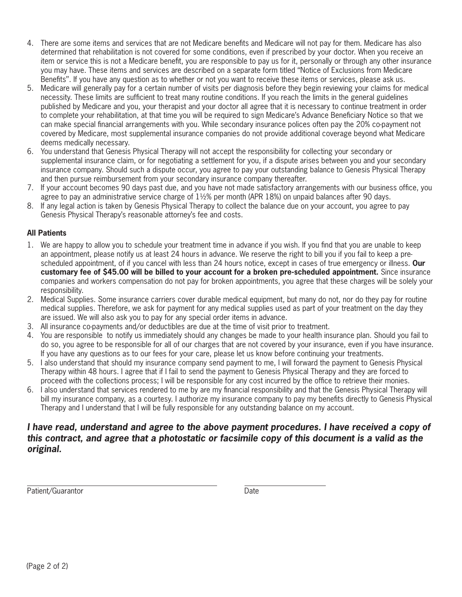- 4. There are some items and services that are not Medicare benefits and Medicare will not pay for them. Medicare has also determined that rehabilitation is not covered for some conditions, even if prescribed by your doctor. When you receive an item or service this is not a Medicare benefit, you are responsible to pay us for it, personally or through any other insurance you may have. These items and services are described on a separate form titled ''Notice of Exclusions from Medicare Benefits''. If you have any question as to whether or not you want to receive these items or services, please ask us.
- 5. Medicare will generally pay for a certain number of visits per diagnosis before they begin reviewing your claims for medical necessity. These limits are sufficient to treat many routine conditions. If you reach the limits in the general guidelines published by Medicare and you, your therapist and your doctor all agree that it is necessary to continue treatment in order to complete your rehabilitation, at that time you will be required to sign Medicare's Advance Beneficiary Notice so that we can make special financial arrangements with you. While secondary insurance polices often pay the 20% co-payment not covered by Medicare, most supplemental insurance companies do not provide additional coverage beyond what Medicare deems medically necessary.
- 6. You understand that Genesis Physical Therapy will not accept the responsibility for collecting your secondary or supplemental insurance claim, or for negotiating a settlement for you, if a dispute arises between you and your secondary insurance company. Should such a dispute occur, you agree to pay your outstanding balance to Genesis Physical Therapy and then pursue reimbursement from your secondary insurance company thereafter.
- 7. If your account becomes 90 days past due, and you have not made satisfactory arrangements with our business office, you agree to pay an administrative service charge of  $1\frac{1}{2}\%$  per month (APR 18%) on unpaid balances after 90 days.
- 8. If any legal action is taken by Genesis Physical Therapy to collect the balance due on your account, you agree to pay Genesis Physical Therapy's reasonable attorney's fee and costs.

#### **All Patients**

- 1. We are happy to allow you to schedule your treatment time in advance if you wish. If you find that you are unable to keep an appointment, please notify us at least 24 hours in advance. We reserve the right to bill you if you fail to keep a prescheduled appointment, of if you cancel with less than 24 hours notice, except in cases of true emergency or illness. **Our customary fee of \$45.00 will be billed to your account for a broken pre-scheduled appointment.** Since insurance companies and workers compensation do not pay for broken appointments, you agree that these charges will be solely your responsibility.
- 2. Medical Supplies. Some insurance carriers cover durable medical equipment, but many do not, nor do they pay for routine medical supplies. Therefore, we ask for payment for any medical supplies used as part of your treatment on the day they are issued. We will also ask you to pay for any special order items in advance.
- 3. All insurance co-payments and/or deductibles are due at the time of visit prior to treatment.
- 4. You are responsible to notify us immediately should any changes be made to your health insurance plan. Should you fail to do so, you agree to be responsible for all of our charges that are not covered by your insurance, even if you have insurance. If you have any questions as to our fees for your care, please let us know before continuing your treatments.
- 5. I also understand that should my insurance company send payment to me, I will forward the payment to Genesis Physical Therapy within 48 hours. I agree that if I fail to send the payment to Genesis Physical Therapy and they are forced to proceed with the collections process; I will be responsible for any cost incurred by the office to retrieve their monies.
- 6. I also understand that services rendered to me by are my financial responsibility and that the Genesis Physical Therapy will bill my insurance company, as a courtesy. I authorize my insurance company to pay my benefits directly to Genesis Physical Therapy and I understand that I will be fully responsible for any outstanding balance on my account.

### *I have read, understand and agree to the above payment procedures. I have received a copy of this contract, and agree that a photostatic or facsimile copy of this document is a valid as the original.*

 Patient/Guarantor Date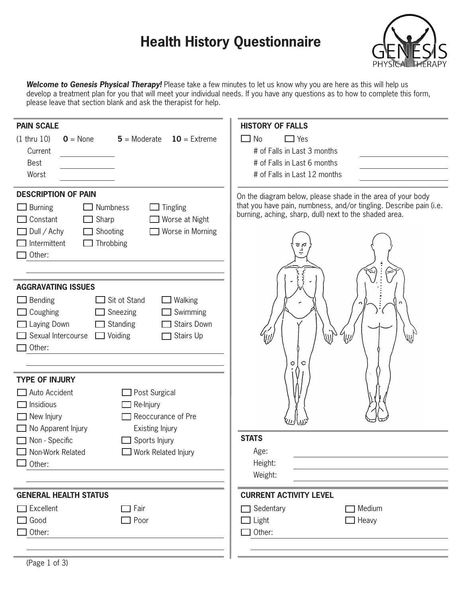# **Health History Questionnaire**



*Welcome to Genesis Physical Therapy!* Please take a few minutes to let us know why you are here as this will help us develop a treatment plan for you that will meet your individual needs. If you have any questions as to how to complete this form, please leave that section blank and ask the therapist for help.

| <b>PAIN SCALE</b>                                                                                                                                                                                        | <b>HISTORY OF FALLS</b>                                                                                                                                                                                  |
|----------------------------------------------------------------------------------------------------------------------------------------------------------------------------------------------------------|----------------------------------------------------------------------------------------------------------------------------------------------------------------------------------------------------------|
| $10 =$ Extreme<br>$(1$ thru $10)$<br>$0 = \text{None}$<br>$5 =$ Moderate                                                                                                                                 | $\Box$ Yes<br>No                                                                                                                                                                                         |
| Current                                                                                                                                                                                                  | # of Falls in Last 3 months                                                                                                                                                                              |
| <b>Best</b>                                                                                                                                                                                              | # of Falls in Last 6 months                                                                                                                                                                              |
| Worst                                                                                                                                                                                                    | # of Falls in Last 12 months                                                                                                                                                                             |
| <b>DESCRIPTION OF PAIN</b><br>Numbness<br><b>Tingling</b><br><b>Burning</b><br>Constant<br>Sharp<br>Worse at Night<br>Worse in Morning<br>Dull / Achy<br>Shooting<br>Throbbing<br>Intermittent<br>Other: | On the diagram below, please shade in the area of your body<br>that you have pain, numbness, and/or tingling. Describe pain (i.e.<br>burning, aching, sharp, dull) next to the shaded area.<br>ل<br>مائو |
| <b>AGGRAVATING ISSUES</b>                                                                                                                                                                                |                                                                                                                                                                                                          |
| Sit ot Stand<br><b>Bending</b><br>Walking<br>Swimming<br>Coughing<br>Sneezing<br><b>Stairs Down</b><br>Laying Down<br>Standing<br>Sexual Intercourse<br>Stairs Up<br>$\Box$ Voiding<br>Other:            | WŊ<br>Щl<br>W<br>Ο<br>C                                                                                                                                                                                  |
| <b>TYPE OF INJURY</b><br>Auto Accident<br>Post Surgical<br>Insidious<br>Re-Injury<br>Reoccurance of Pre<br>New Injury<br>No Apparent Injury<br>Existing Injury                                           |                                                                                                                                                                                                          |
| Non - Specific<br>Sports Injury                                                                                                                                                                          | <b>STATS</b>                                                                                                                                                                                             |
| Non-Work Related<br>Work Related Injury                                                                                                                                                                  | Age:                                                                                                                                                                                                     |
| Other:                                                                                                                                                                                                   | Height:                                                                                                                                                                                                  |
|                                                                                                                                                                                                          | Weight:                                                                                                                                                                                                  |
| <b>GENERAL HEALTH STATUS</b>                                                                                                                                                                             | <b>CURRENT ACTIVITY LEVEL</b>                                                                                                                                                                            |
| Excellent<br>Fair<br>- 1                                                                                                                                                                                 | Sedentary<br>Medium                                                                                                                                                                                      |
| Poor<br>Good                                                                                                                                                                                             | $\Box$ Light<br>$\Box$ Heavy                                                                                                                                                                             |
| Other:                                                                                                                                                                                                   | Other:                                                                                                                                                                                                   |
|                                                                                                                                                                                                          |                                                                                                                                                                                                          |
|                                                                                                                                                                                                          |                                                                                                                                                                                                          |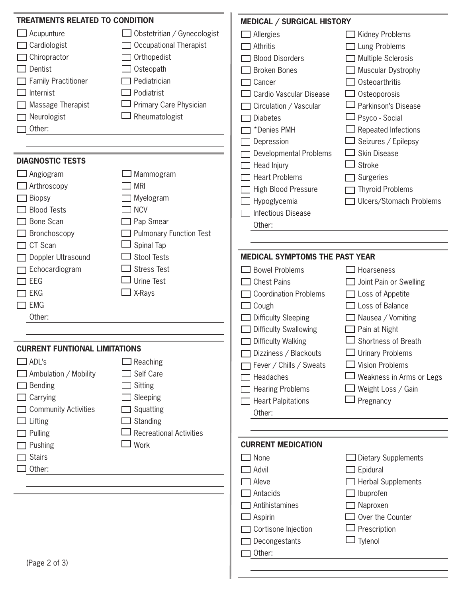| <b>TREATMENTS RELATED TO CONDITION</b> |                                | <b>MEDICAL / SURGICAL HISTORY</b>     |                          |
|----------------------------------------|--------------------------------|---------------------------------------|--------------------------|
| Acupunture                             | Obstetritian / Gynecologist    | $\Box$ Allergies                      | Kidney Problems          |
| Cardiologist                           | Occupational Therapist         | Athritis                              | Lung Problems            |
| Chiropractor                           | Orthopedist                    | <b>Blood Disorders</b>                | Multiple Sclerosis       |
| Dentist                                | Osteopath                      | <b>Broken Bones</b>                   | Muscular Dystrophy       |
| <b>Family Practitioner</b>             | Pediatrician                   | Cancer                                | Osteoarthritis           |
| Internist                              | Podiatrist                     | Cardio Vascular Disease               | Osteoporosis             |
| Massage Therapist                      | Primary Care Physician         | Circulation / Vascular                | Parkinson's Disease      |
| Neurologist                            | Rheumatologist                 | <b>Diabetes</b>                       | Psyco - Social           |
| Other:                                 |                                | *Denies PMH                           | Repeated Infections      |
|                                        |                                | Depression                            | Seizures / Epilepsy      |
|                                        |                                | Developmental Problems                | Skin Disease             |
| <b>DIAGNOSTIC TESTS</b>                |                                | Head Injury                           | Stroke                   |
| Angiogram                              | Mammogram                      | <b>Heart Problems</b>                 | Surgeries                |
| Arthroscopy                            | <b>MRI</b>                     | <b>High Blood Pressure</b>            | <b>Thyroid Problems</b>  |
| <b>Biopsy</b>                          | Myelogram                      | Hypoglycemia                          | Ulcers/Stomach Problems  |
| <b>Blood Tests</b>                     | <b>NCV</b>                     | Infectious Disease                    |                          |
| Bone Scan                              | Pap Smear                      | Other:                                |                          |
| Bronchoscopy                           | <b>Pulmonary Function Test</b> |                                       |                          |
| CT Scan                                | Spinal Tap                     |                                       |                          |
| Doppler Ultrasound                     | <b>Stool Tests</b>             | <b>MEDICAL SYMPTOMS THE PAST YEAR</b> |                          |
| Echocardiogram                         | <b>Stress Test</b>             | <b>Bowel Problems</b>                 | Hoarseness               |
| EEG                                    | <b>Urine Test</b>              | <b>Chest Pains</b>                    | Joint Pain or Swelling   |
| <b>EKG</b>                             | X-Rays                         | <b>Coordination Problems</b>          | $\Box$ Loss of Appetite  |
| <b>EMG</b>                             |                                | Cough                                 | Loss of Balance          |
| Other:                                 |                                | <b>Difficulty Sleeping</b>            | Nausea / Vomiting        |
|                                        |                                | <b>Difficulty Swallowing</b>          | Pain at Night            |
|                                        |                                | <b>Difficulty Walking</b>             | Shortness of Breath      |
| <b>CURRENT FUNTIONAL LIMITATIONS</b>   |                                | □ Dizziness / Blackouts               | $\Box$ Urinary Problems  |
| ADL's                                  | Reaching                       | Fever / Chills / Sweats               | $\Box$ Vision Problems   |
| Ambulation / Mobility                  | Self Care                      | Headaches                             | Weakness in Arms or Legs |
| Bending                                | Sitting                        | <b>Hearing Problems</b>               | ∃ Weight Loss / Gain     |
| Carrying                               | Sleeping                       | <b>Heart Palpitations</b>             | Pregnancy                |
| <b>Community Activities</b>            | Squatting                      | Other:                                |                          |
| Lifting                                | Standing                       |                                       |                          |
| Pulling                                | <b>Recreational Activities</b> |                                       |                          |
| Pushing                                | Work                           | <b>CURRENT MEDICATION</b>             |                          |
| <b>Stairs</b>                          |                                | None                                  | Dietary Supplements      |
| Other:                                 |                                | <b>Advil</b>                          | Epidural                 |
|                                        |                                | Aleve                                 | □ Herbal Supplements     |
|                                        |                                | Antacids                              | Ibuprofen                |
|                                        |                                | Antihistamines                        | Naproxen                 |
|                                        |                                | Aspirin                               | Over the Counter         |
|                                        |                                | Cortisone Injection                   | Prescription             |
|                                        |                                | Decongestants                         | $\Box$ Tylenol           |
|                                        |                                | Other:                                |                          |
| (Page 2 of 3)                          |                                |                                       |                          |
|                                        |                                |                                       |                          |